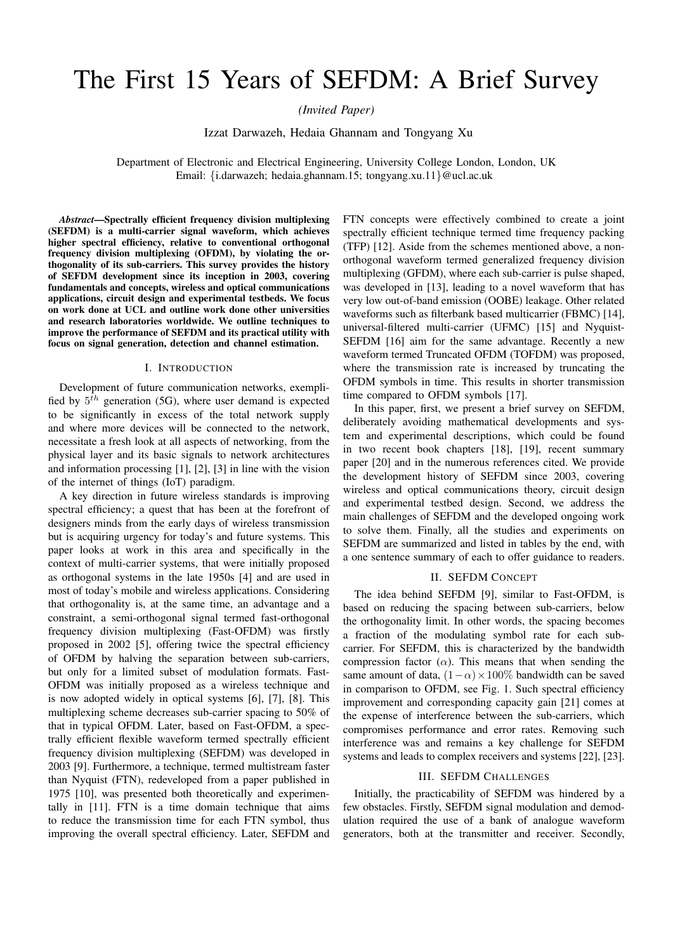# The First 15 Years of SEFDM: A Brief Survey

*(Invited Paper)*

Izzat Darwazeh, Hedaia Ghannam and Tongyang Xu

Department of Electronic and Electrical Engineering, University College London, London, UK Email: {i.darwazeh; hedaia.ghannam.15; tongyang.xu.11}@ucl.ac.uk

*Abstract*—Spectrally efficient frequency division multiplexing (SEFDM) is a multi-carrier signal waveform, which achieves higher spectral efficiency, relative to conventional orthogonal frequency division multiplexing (OFDM), by violating the orthogonality of its sub-carriers. This survey provides the history of SEFDM development since its inception in 2003, covering fundamentals and concepts, wireless and optical communications applications, circuit design and experimental testbeds. We focus on work done at UCL and outline work done other universities and research laboratories worldwide. We outline techniques to improve the performance of SEFDM and its practical utility with focus on signal generation, detection and channel estimation.

## I. INTRODUCTION

Development of future communication networks, exemplified by  $5<sup>th</sup>$  generation (5G), where user demand is expected to be significantly in excess of the total network supply and where more devices will be connected to the network, necessitate a fresh look at all aspects of networking, from the physical layer and its basic signals to network architectures and information processing [1], [2], [3] in line with the vision of the internet of things (IoT) paradigm.

A key direction in future wireless standards is improving spectral efficiency; a quest that has been at the forefront of designers minds from the early days of wireless transmission but is acquiring urgency for today's and future systems. This paper looks at work in this area and specifically in the context of multi-carrier systems, that were initially proposed as orthogonal systems in the late 1950s [4] and are used in most of today's mobile and wireless applications. Considering that orthogonality is, at the same time, an advantage and a constraint, a semi-orthogonal signal termed fast-orthogonal frequency division multiplexing (Fast-OFDM) was firstly proposed in 2002 [5], offering twice the spectral efficiency of OFDM by halving the separation between sub-carriers, but only for a limited subset of modulation formats. Fast-OFDM was initially proposed as a wireless technique and is now adopted widely in optical systems [6], [7], [8]. This multiplexing scheme decreases sub-carrier spacing to 50% of that in typical OFDM. Later, based on Fast-OFDM, a spectrally efficient flexible waveform termed spectrally efficient frequency division multiplexing (SEFDM) was developed in 2003 [9]. Furthermore, a technique, termed multistream faster than Nyquist (FTN), redeveloped from a paper published in 1975 [10], was presented both theoretically and experimentally in [11]. FTN is a time domain technique that aims to reduce the transmission time for each FTN symbol, thus improving the overall spectral efficiency. Later, SEFDM and

FTN concepts were effectively combined to create a joint spectrally efficient technique termed time frequency packing (TFP) [12]. Aside from the schemes mentioned above, a nonorthogonal waveform termed generalized frequency division multiplexing (GFDM), where each sub-carrier is pulse shaped, was developed in [13], leading to a novel waveform that has very low out-of-band emission (OOBE) leakage. Other related waveforms such as filterbank based multicarrier (FBMC) [14], universal-filtered multi-carrier (UFMC) [15] and Nyquist-SEFDM [16] aim for the same advantage. Recently a new waveform termed Truncated OFDM (TOFDM) was proposed, where the transmission rate is increased by truncating the OFDM symbols in time. This results in shorter transmission time compared to OFDM symbols [17].

In this paper, first, we present a brief survey on SEFDM, deliberately avoiding mathematical developments and system and experimental descriptions, which could be found in two recent book chapters [18], [19], recent summary paper [20] and in the numerous references cited. We provide the development history of SEFDM since 2003, covering wireless and optical communications theory, circuit design and experimental testbed design. Second, we address the main challenges of SEFDM and the developed ongoing work to solve them. Finally, all the studies and experiments on SEFDM are summarized and listed in tables by the end, with a one sentence summary of each to offer guidance to readers.

### II. SEFDM CONCEPT

The idea behind SEFDM [9], similar to Fast-OFDM, is based on reducing the spacing between sub-carriers, below the orthogonality limit. In other words, the spacing becomes a fraction of the modulating symbol rate for each subcarrier. For SEFDM, this is characterized by the bandwidth compression factor  $(\alpha)$ . This means that when sending the same amount of data,  $(1-\alpha) \times 100\%$  bandwidth can be saved in comparison to OFDM, see Fig. 1. Such spectral efficiency improvement and corresponding capacity gain [21] comes at the expense of interference between the sub-carriers, which compromises performance and error rates. Removing such interference was and remains a key challenge for SEFDM systems and leads to complex receivers and systems [22], [23].

#### III. SEFDM CHALLENGES

Initially, the practicability of SEFDM was hindered by a few obstacles. Firstly, SEFDM signal modulation and demodulation required the use of a bank of analogue waveform generators, both at the transmitter and receiver. Secondly,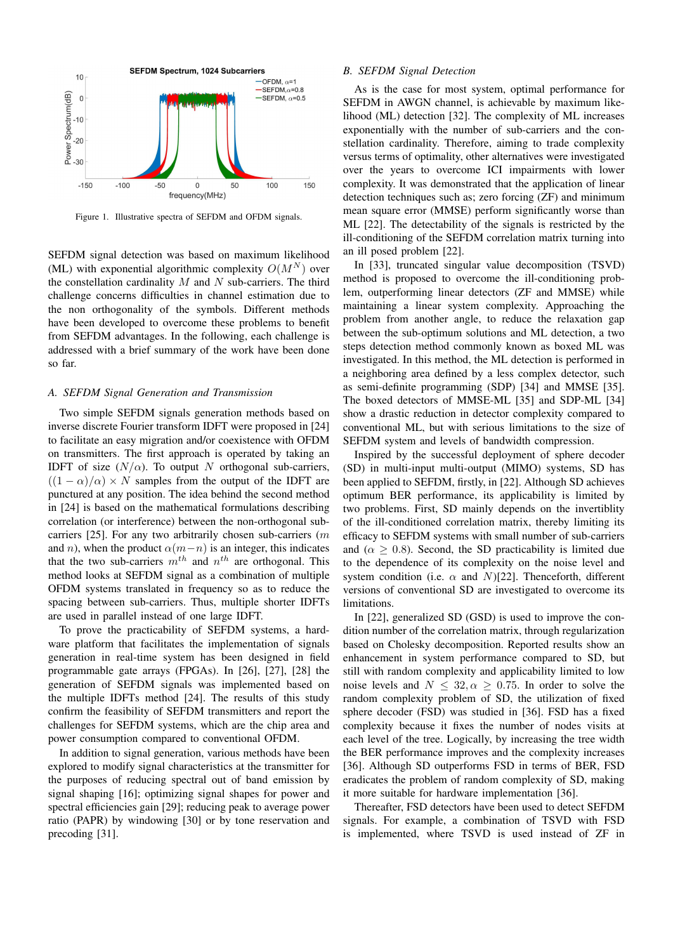

Figure 1. Illustrative spectra of SEFDM and OFDM signals.

SEFDM signal detection was based on maximum likelihood (ML) with exponential algorithmic complexity  $O(M^N)$  over the constellation cardinality  $M$  and  $N$  sub-carriers. The third challenge concerns difficulties in channel estimation due to the non orthogonality of the symbols. Different methods have been developed to overcome these problems to benefit from SEFDM advantages. In the following, each challenge is addressed with a brief summary of the work have been done so far.

#### *A. SEFDM Signal Generation and Transmission*

Two simple SEFDM signals generation methods based on inverse discrete Fourier transform IDFT were proposed in [24] to facilitate an easy migration and/or coexistence with OFDM on transmitters. The first approach is operated by taking an IDFT of size  $(N/\alpha)$ . To output N orthogonal sub-carriers,  $((1 - \alpha)/\alpha) \times N$  samples from the output of the IDFT are punctured at any position. The idea behind the second method in [24] is based on the mathematical formulations describing correlation (or interference) between the non-orthogonal subcarriers [25]. For any two arbitrarily chosen sub-carriers (m and n), when the product  $\alpha(m-n)$  is an integer, this indicates that the two sub-carriers  $m^{th}$  and  $n^{th}$  are orthogonal. This method looks at SEFDM signal as a combination of multiple OFDM systems translated in frequency so as to reduce the spacing between sub-carriers. Thus, multiple shorter IDFTs are used in parallel instead of one large IDFT.

To prove the practicability of SEFDM systems, a hardware platform that facilitates the implementation of signals generation in real-time system has been designed in field programmable gate arrays (FPGAs). In [26], [27], [28] the generation of SEFDM signals was implemented based on the multiple IDFTs method [24]. The results of this study confirm the feasibility of SEFDM transmitters and report the challenges for SEFDM systems, which are the chip area and power consumption compared to conventional OFDM.

In addition to signal generation, various methods have been explored to modify signal characteristics at the transmitter for the purposes of reducing spectral out of band emission by signal shaping [16]; optimizing signal shapes for power and spectral efficiencies gain [29]; reducing peak to average power ratio (PAPR) by windowing [30] or by tone reservation and precoding [31].

### *B. SEFDM Signal Detection*

As is the case for most system, optimal performance for SEFDM in AWGN channel, is achievable by maximum likelihood (ML) detection [32]. The complexity of ML increases exponentially with the number of sub-carriers and the constellation cardinality. Therefore, aiming to trade complexity versus terms of optimality, other alternatives were investigated over the years to overcome ICI impairments with lower complexity. It was demonstrated that the application of linear detection techniques such as; zero forcing (ZF) and minimum mean square error (MMSE) perform significantly worse than ML [22]. The detectability of the signals is restricted by the ill-conditioning of the SEFDM correlation matrix turning into an ill posed problem [22].

In [33], truncated singular value decomposition (TSVD) method is proposed to overcome the ill-conditioning problem, outperforming linear detectors (ZF and MMSE) while maintaining a linear system complexity. Approaching the problem from another angle, to reduce the relaxation gap between the sub-optimum solutions and ML detection, a two steps detection method commonly known as boxed ML was investigated. In this method, the ML detection is performed in a neighboring area defined by a less complex detector, such as semi-definite programming (SDP) [34] and MMSE [35]. The boxed detectors of MMSE-ML [35] and SDP-ML [34] show a drastic reduction in detector complexity compared to conventional ML, but with serious limitations to the size of SEFDM system and levels of bandwidth compression.

Inspired by the successful deployment of sphere decoder (SD) in multi-input multi-output (MIMO) systems, SD has been applied to SEFDM, firstly, in [22]. Although SD achieves optimum BER performance, its applicability is limited by two problems. First, SD mainly depends on the invertiblity of the ill-conditioned correlation matrix, thereby limiting its efficacy to SEFDM systems with small number of sub-carriers and ( $\alpha > 0.8$ ). Second, the SD practicability is limited due to the dependence of its complexity on the noise level and system condition (i.e.  $\alpha$  and N)[22]. Thenceforth, different versions of conventional SD are investigated to overcome its limitations.

In [22], generalized SD (GSD) is used to improve the condition number of the correlation matrix, through regularization based on Cholesky decomposition. Reported results show an enhancement in system performance compared to SD, but still with random complexity and applicability limited to low noise levels and  $N < 32, \alpha > 0.75$ . In order to solve the random complexity problem of SD, the utilization of fixed sphere decoder (FSD) was studied in [36]. FSD has a fixed complexity because it fixes the number of nodes visits at each level of the tree. Logically, by increasing the tree width the BER performance improves and the complexity increases [36]. Although SD outperforms FSD in terms of BER, FSD eradicates the problem of random complexity of SD, making it more suitable for hardware implementation [36].

Thereafter, FSD detectors have been used to detect SEFDM signals. For example, a combination of TSVD with FSD is implemented, where TSVD is used instead of ZF in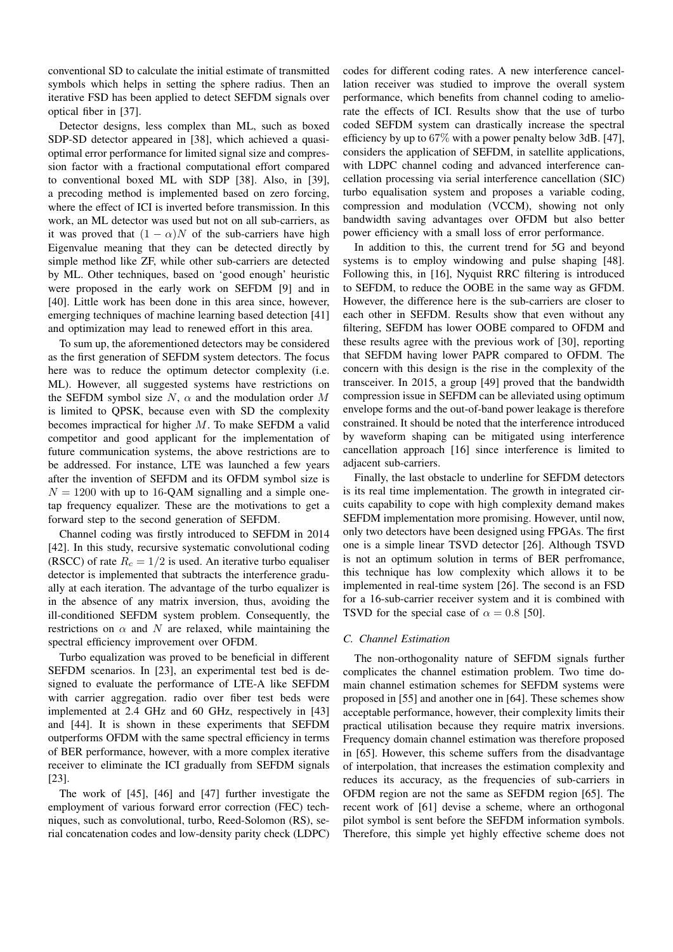conventional SD to calculate the initial estimate of transmitted symbols which helps in setting the sphere radius. Then an iterative FSD has been applied to detect SEFDM signals over optical fiber in [37].

Detector designs, less complex than ML, such as boxed SDP-SD detector appeared in [38], which achieved a quasioptimal error performance for limited signal size and compression factor with a fractional computational effort compared to conventional boxed ML with SDP [38]. Also, in [39], a precoding method is implemented based on zero forcing, where the effect of ICI is inverted before transmission. In this work, an ML detector was used but not on all sub-carriers, as it was proved that  $(1 - \alpha)N$  of the sub-carriers have high Eigenvalue meaning that they can be detected directly by simple method like ZF, while other sub-carriers are detected by ML. Other techniques, based on 'good enough' heuristic were proposed in the early work on SEFDM [9] and in [40]. Little work has been done in this area since, however, emerging techniques of machine learning based detection [41] and optimization may lead to renewed effort in this area.

To sum up, the aforementioned detectors may be considered as the first generation of SEFDM system detectors. The focus here was to reduce the optimum detector complexity (i.e. ML). However, all suggested systems have restrictions on the SEFDM symbol size  $N$ ,  $\alpha$  and the modulation order M is limited to QPSK, because even with SD the complexity becomes impractical for higher M. To make SEFDM a valid competitor and good applicant for the implementation of future communication systems, the above restrictions are to be addressed. For instance, LTE was launched a few years after the invention of SEFDM and its OFDM symbol size is  $N = 1200$  with up to 16-QAM signalling and a simple onetap frequency equalizer. These are the motivations to get a forward step to the second generation of SEFDM.

Channel coding was firstly introduced to SEFDM in 2014 [42]. In this study, recursive systematic convolutional coding (RSCC) of rate  $R_c = 1/2$  is used. An iterative turbo equaliser detector is implemented that subtracts the interference gradually at each iteration. The advantage of the turbo equalizer is in the absence of any matrix inversion, thus, avoiding the ill-conditioned SEFDM system problem. Consequently, the restrictions on  $\alpha$  and N are relaxed, while maintaining the spectral efficiency improvement over OFDM.

Turbo equalization was proved to be beneficial in different SEFDM scenarios. In [23], an experimental test bed is designed to evaluate the performance of LTE-A like SEFDM with carrier aggregation. radio over fiber test beds were implemented at 2.4 GHz and 60 GHz, respectively in [43] and [44]. It is shown in these experiments that SEFDM outperforms OFDM with the same spectral efficiency in terms of BER performance, however, with a more complex iterative receiver to eliminate the ICI gradually from SEFDM signals [23].

The work of [45], [46] and [47] further investigate the employment of various forward error correction (FEC) techniques, such as convolutional, turbo, Reed-Solomon (RS), serial concatenation codes and low-density parity check (LDPC) codes for different coding rates. A new interference cancellation receiver was studied to improve the overall system performance, which benefits from channel coding to ameliorate the effects of ICI. Results show that the use of turbo coded SEFDM system can drastically increase the spectral efficiency by up to 67% with a power penalty below 3dB. [47], considers the application of SEFDM, in satellite applications, with LDPC channel coding and advanced interference cancellation processing via serial interference cancellation (SIC) turbo equalisation system and proposes a variable coding, compression and modulation (VCCM), showing not only bandwidth saving advantages over OFDM but also better power efficiency with a small loss of error performance.

In addition to this, the current trend for 5G and beyond systems is to employ windowing and pulse shaping [48]. Following this, in [16], Nyquist RRC filtering is introduced to SEFDM, to reduce the OOBE in the same way as GFDM. However, the difference here is the sub-carriers are closer to each other in SEFDM. Results show that even without any filtering, SEFDM has lower OOBE compared to OFDM and these results agree with the previous work of [30], reporting that SEFDM having lower PAPR compared to OFDM. The concern with this design is the rise in the complexity of the transceiver. In 2015, a group [49] proved that the bandwidth compression issue in SEFDM can be alleviated using optimum envelope forms and the out-of-band power leakage is therefore constrained. It should be noted that the interference introduced by waveform shaping can be mitigated using interference cancellation approach [16] since interference is limited to adjacent sub-carriers.

Finally, the last obstacle to underline for SEFDM detectors is its real time implementation. The growth in integrated circuits capability to cope with high complexity demand makes SEFDM implementation more promising. However, until now, only two detectors have been designed using FPGAs. The first one is a simple linear TSVD detector [26]. Although TSVD is not an optimum solution in terms of BER perfromance, this technique has low complexity which allows it to be implemented in real-time system [26]. The second is an FSD for a 16-sub-carrier receiver system and it is combined with TSVD for the special case of  $\alpha = 0.8$  [50].

### *C. Channel Estimation*

The non-orthogonality nature of SEFDM signals further complicates the channel estimation problem. Two time domain channel estimation schemes for SEFDM systems were proposed in [55] and another one in [64]. These schemes show acceptable performance, however, their complexity limits their practical utilisation because they require matrix inversions. Frequency domain channel estimation was therefore proposed in [65]. However, this scheme suffers from the disadvantage of interpolation, that increases the estimation complexity and reduces its accuracy, as the frequencies of sub-carriers in OFDM region are not the same as SEFDM region [65]. The recent work of [61] devise a scheme, where an orthogonal pilot symbol is sent before the SEFDM information symbols. Therefore, this simple yet highly effective scheme does not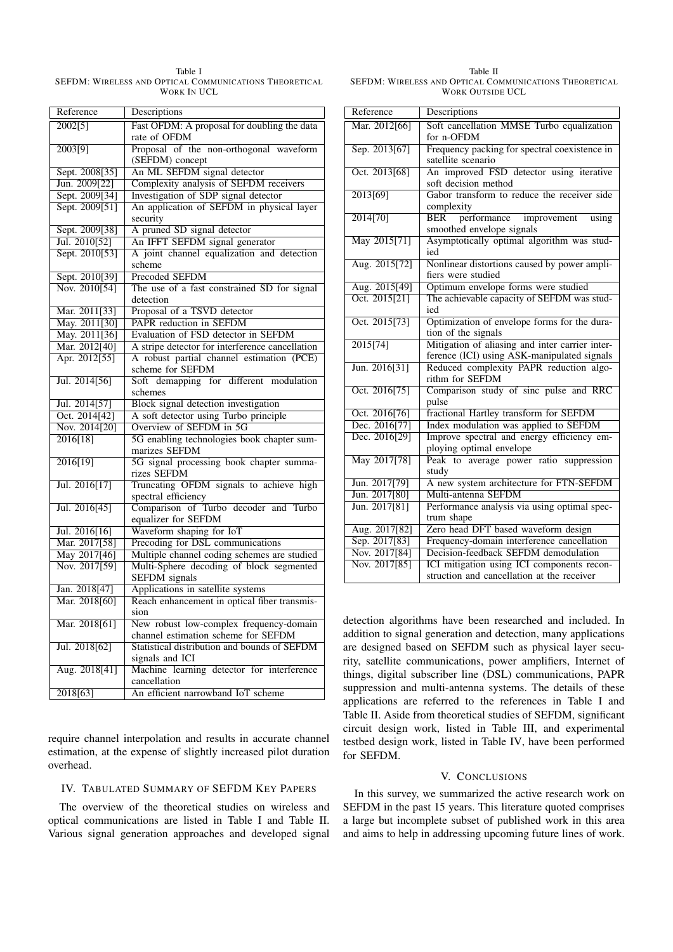Table I SEFDM: WIRELESS AND OPTICAL COMMUNICATIONS THEORETICAL WORK IN UCL

| Reference      | Descriptions                                                  |
|----------------|---------------------------------------------------------------|
| 2002[5]        | Fast OFDM: A proposal for doubling the data                   |
|                | rate of OFDM                                                  |
| 2003[9]        | Proposal of the non-orthogonal waveform                       |
|                | (SEFDM) concept                                               |
| Sept. 2008[35] | An ML SEFDM signal detector                                   |
| Jun. 2009[22]  | Complexity analysis of SEFDM receivers                        |
| Sept. 2009[34] | Investigation of SDP signal detector                          |
| Sept. 2009[51] | An application of SEFDM in physical layer<br>security         |
| Sept. 2009[38] | A pruned SD signal detector                                   |
| Jul. 2010[52]  | An IFFT SEFDM signal generator                                |
| Sept. 2010[53] | A joint channel equalization and detection                    |
|                | scheme                                                        |
| Sept. 2010[39] | <b>Precoded SEFDM</b>                                         |
| Nov. 2010[54]  | The use of a fast constrained SD for signal                   |
|                | detection                                                     |
| Mar. 2011[33]  | Proposal of a TSVD detector                                   |
| May. 2011[30]  | PAPR reduction in SEFDM                                       |
| May. 2011[36]  | Evaluation of FSD detector in SEFDM                           |
| Mar. 2012[40]  | A stripe detector for interference cancellation               |
| Apr. 2012[55]  | A robust partial channel estimation (PCE)<br>scheme for SEFDM |
| Jul. 2014[56]  | Soft demapping for different modulation                       |
|                | schemes                                                       |
| Jul. 2014[57]  | Block signal detection investigation                          |
| Oct. 2014[42]  | A soft detector using Turbo principle                         |
| Nov. 2014[20]  | Overview of SEFDM in 5G                                       |
| 2016[18]       | 5G enabling technologies book chapter sum-                    |
|                | marizes SEFDM                                                 |
| 2016[19]       | 5G signal processing book chapter summa-<br>rizes SEFDM       |
| Jul. 2016[17]  | Truncating OFDM signals to achieve high                       |
|                | spectral efficiency                                           |
| Jul. 2016[45]  | Comparison of Turbo decoder and Turbo                         |
|                | equalizer for SEFDM                                           |
| Jul. 2016[16]  | Waveform shaping for IoT                                      |
| Mar. 2017[58]  | Precoding for DSL communications                              |
| May 2017[46]   | Multiple channel coding schemes are studied                   |
| Nov. 2017[59]  | Multi-Sphere decoding of block segmented                      |
|                | <b>SEFDM</b> signals                                          |
| Jan. 2018[47]  | Applications in satellite systems                             |
| Mar. 2018[60]  | Reach enhancement in optical fiber transmis-<br>sion          |
| Mar. 2018[61]  | New robust low-complex frequency-domain                       |
|                | channel estimation scheme for SEFDM                           |
| Jul. 2018[62]  | Statistical distribution and bounds of SEFDM                  |
|                | signals and ICI                                               |
| Aug. 2018[41]  | Machine learning detector for interference                    |
|                | cancellation                                                  |
| 2018[63]       | An efficient narrowband IoT scheme                            |
|                |                                                               |

require channel interpolation and results in accurate channel estimation, at the expense of slightly increased pilot duration overhead.

### IV. TABULATED SUMMARY OF SEFDM KEY PAPERS

The overview of the theoretical studies on wireless and optical communications are listed in Table I and Table II. Various signal generation approaches and developed signal

Table II SEFDM: WIRELESS AND OPTICAL COMMUNICATIONS THEORETICAL WORK OUTSIDE UCL

| Reference                        |                                                                                                |
|----------------------------------|------------------------------------------------------------------------------------------------|
|                                  | Descriptions                                                                                   |
| Mar. 2012[66]                    | Soft cancellation MMSE Turbo equalization<br>for n-OFDM                                        |
| Sep. 2013[67]                    | Frequency packing for spectral coexistence in<br>satellite scenario                            |
| Oct. 2013[68]                    | An improved FSD detector using iterative<br>soft decision method                               |
| 2013[69]                         | Gabor transform to reduce the receiver side<br>complexity                                      |
| 2014[70]                         | performance improvement<br><b>BER</b><br>using<br>smoothed envelope signals                    |
| May 2015[71]                     | Asymptotically optimal algorithm was stud-<br>ied                                              |
| Aug. 2015[72]                    | Nonlinear distortions caused by power ampli-<br>fiers were studied                             |
| Aug. 2015[49]                    | Optimum envelope forms were studied                                                            |
| $\overline{{\rm Oct.~2015[21]}}$ | The achievable capacity of SEFDM was stud-<br>ied                                              |
| Oct. 2015[73]                    | Optimization of envelope forms for the dura-<br>tion of the signals                            |
| 2015[74]                         | Mitigation of aliasing and inter carrier inter-<br>ference (ICI) using ASK-manipulated signals |
| Jun. 2016[31]                    | Reduced complexity PAPR reduction algo-<br>rithm for SEFDM                                     |
| Oct. 2016[75]                    | Comparison study of sinc pulse and RRC<br>pulse                                                |
| Oct. 2016[76]                    | fractional Hartley transform for SEFDM                                                         |
| Dec. 2016[77]                    | Index modulation was applied to SEFDM                                                          |
| Dec. 2016[29]                    | Improve spectral and energy efficiency em-<br>ploying optimal envelope                         |
| May 2017[78]                     | Peak to average power ratio suppression<br>study                                               |
| Jun. 2017[79]                    | A new system architecture for FTN-SEFDM                                                        |
| Jun. 2017[80]                    | Multi-antenna SEFDM                                                                            |
| Jun. 2017[81]                    | Performance analysis via using optimal spec-<br>trum shape                                     |
| Aug. 2017[82]                    | Zero head DFT based waveform design                                                            |
| Sep. 2017[83]                    | Frequency-domain interference cancellation                                                     |
| Nov. 2017[84]                    | Decision-feedback SEFDM demodulation                                                           |
| Nov. 2017[85]                    | ICI mitigation using ICI components recon-<br>struction and cancellation at the receiver       |

detection algorithms have been researched and included. In addition to signal generation and detection, many applications are designed based on SEFDM such as physical layer security, satellite communications, power amplifiers, Internet of things, digital subscriber line (DSL) communications, PAPR suppression and multi-antenna systems. The details of these applications are referred to the references in Table I and Table II. Aside from theoretical studies of SEFDM, significant circuit design work, listed in Table III, and experimental testbed design work, listed in Table IV, have been performed for SEFDM.

# V. CONCLUSIONS

In this survey, we summarized the active research work on SEFDM in the past 15 years. This literature quoted comprises a large but incomplete subset of published work in this area and aims to help in addressing upcoming future lines of work.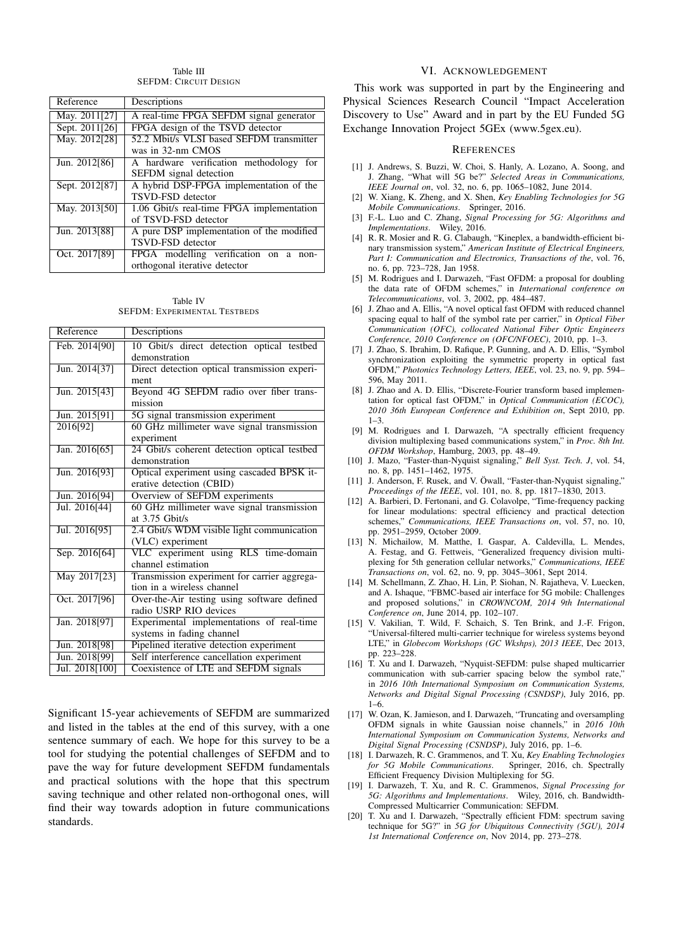Table III SEFDM: CIRCUIT DESIGN

| Reference      | Descriptions                                                                |
|----------------|-----------------------------------------------------------------------------|
| May. 2011[27]  | A real-time FPGA SEFDM signal generator                                     |
| Sept. 2011[26] | FPGA design of the TSVD detector                                            |
| May. 2012[28]  | 52.2 Mbit/s VLSI based SEFDM transmitter<br>was in 32-nm CMOS               |
| Jun. 2012[86]  | A hardware verification methodology<br>for<br><b>SEFDM</b> signal detection |
| Sept. 2012[87] | A hybrid DSP-FPGA implementation of the<br><b>TSVD-FSD</b> detector         |
| May. 2013[50]  | 1.06 Gbit/s real-time FPGA implementation<br>of TSVD-FSD detector           |
| Jun. 2013[88]  | A pure DSP implementation of the modified<br><b>TSVD-FSD</b> detector       |
| Oct. 2017[89]  | FPGA modelling verification on a<br>non-<br>orthogonal iterative detector   |

Table IV SEFDM: EXPERIMENTAL TESTBEDS

| Feb. 2014[90]<br>10 Gbit/s direct detection optical testbed    |  |
|----------------------------------------------------------------|--|
|                                                                |  |
| demonstration                                                  |  |
| Direct detection optical transmission experi-<br>Jun. 2014[37] |  |
| ment                                                           |  |
| Beyond 4G SEFDM radio over fiber trans-<br>Jun. 2015[43]       |  |
| mission                                                        |  |
| 5G signal transmission experiment<br>Jun. 2015[91]             |  |
| 60 GHz millimeter wave signal transmission<br>2016[92]         |  |
| experiment                                                     |  |
| 24 Gbit/s coherent detection optical testbed<br>Jan. 2016[65]  |  |
| demonstration                                                  |  |
| Optical experiment using cascaded BPSK it-<br>Jun. 2016[93]    |  |
| erative detection (CBID)                                       |  |
| Overview of SEFDM experiments<br>Jun. 2016[94]                 |  |
| 60 GHz millimeter wave signal transmission<br>Jul. 2016[44]    |  |
| at $3.75$ Ghit/s                                               |  |
| Jul. 2016[95]<br>2.4 Gbit/s WDM visible light communication    |  |
| (VLC) experiment                                               |  |
| VLC experiment using RLS time-domain<br>Sep. 2016[64]          |  |
| channel estimation                                             |  |
| Transmission experiment for carrier aggrega-<br>May 2017[23]   |  |
| tion in a wireless channel                                     |  |
| Over-the-Air testing using software defined<br>Oct. 2017[96]   |  |
| radio USRP RIO devices                                         |  |
| Jan. 2018[97]<br>Experimental implementations of real-time     |  |
| systems in fading channel                                      |  |
| Pipelined iterative detection experiment<br>Jun. 2018[98]      |  |
| Jun. 2018[99]<br>Self interference cancellation experiment     |  |
| Jul. 2018[100]<br>Coexistence of LTE and SEFDM signals         |  |

Significant 15-year achievements of SEFDM are summarized and listed in the tables at the end of this survey, with a one sentence summary of each. We hope for this survey to be a tool for studying the potential challenges of SEFDM and to pave the way for future development SEFDM fundamentals and practical solutions with the hope that this spectrum saving technique and other related non-orthogonal ones, will find their way towards adoption in future communications standards.

### VI. ACKNOWLEDGEMENT

This work was supported in part by the Engineering and Physical Sciences Research Council "Impact Acceleration Discovery to Use" Award and in part by the EU Funded 5G Exchange Innovation Project 5GEx (www.5gex.eu).

#### **REFERENCES**

- [1] J. Andrews, S. Buzzi, W. Choi, S. Hanly, A. Lozano, A. Soong, and J. Zhang, "What will 5G be?" *Selected Areas in Communications, IEEE Journal on*, vol. 32, no. 6, pp. 1065–1082, June 2014.
- [2] W. Xiang, K. Zheng, and X. Shen, *Key Enabling Technologies for 5G Mobile Communications*. Springer, 2016.
- [3] F.-L. Luo and C. Zhang, *Signal Processing for 5G: Algorithms and Implementations*. Wiley, 2016.
- [4] R. R. Mosier and R. G. Clabaugh, "Kineplex, a bandwidth-efficient binary transmission system," *American Institute of Electrical Engineers, Part I: Communication and Electronics, Transactions of the*, vol. 76, no. 6, pp. 723–728, Jan 1958.
- [5] M. Rodrigues and I. Darwazeh, "Fast OFDM: a proposal for doubling the data rate of OFDM schemes," in *International conference on Telecommunications*, vol. 3, 2002, pp. 484–487.
- [6] J. Zhao and A. Ellis, "A novel optical fast OFDM with reduced channel spacing equal to half of the symbol rate per carrier," in *Optical Fiber Communication (OFC), collocated National Fiber Optic Engineers Conference, 2010 Conference on (OFC/NFOEC)*, 2010, pp. 1–3.
- [7] J. Zhao, S. Ibrahim, D. Rafique, P. Gunning, and A. D. Ellis, "Symbol synchronization exploiting the symmetric property in optical fast OFDM," *Photonics Technology Letters, IEEE*, vol. 23, no. 9, pp. 594– 596, May 2011.
- [8] J. Zhao and A. D. Ellis, "Discrete-Fourier transform based implementation for optical fast OFDM," in *Optical Communication (ECOC), 2010 36th European Conference and Exhibition on*, Sept 2010, pp.  $1 - 3$
- [9] M. Rodrigues and I. Darwazeh, "A spectrally efficient frequency division multiplexing based communications system," in *Proc. 8th Int. OFDM Workshop*, Hamburg, 2003, pp. 48–49.
- [10] J. Mazo, "Faster-than-Nyquist signaling," *Bell Syst. Tech. J*, vol. 54, no. 8, pp. 1451–1462, 1975.
- [11] J. Anderson, F. Rusek, and V. Öwall, "Faster-than-Nyquist signaling," *Proceedings of the IEEE*, vol. 101, no. 8, pp. 1817–1830, 2013.
- [12] A. Barbieri, D. Fertonani, and G. Colavolpe, "Time-frequency packing for linear modulations: spectral efficiency and practical detection schemes," *Communications, IEEE Transactions on*, vol. 57, no. 10, pp. 2951–2959, October 2009.
- [13] N. Michailow, M. Matthe, I. Gaspar, A. Caldevilla, L. Mendes, A. Festag, and G. Fettweis, "Generalized frequency division multiplexing for 5th generation cellular networks," *Communications, IEEE Transactions on*, vol. 62, no. 9, pp. 3045–3061, Sept 2014.
- [14] M. Schellmann, Z. Zhao, H. Lin, P. Siohan, N. Rajatheva, V. Luecken, and A. Ishaque, "FBMC-based air interface for 5G mobile: Challenges and proposed solutions," in *CROWNCOM, 2014 9th International Conference on*, June 2014, pp. 102–107.
- [15] V. Vakilian, T. Wild, F. Schaich, S. Ten Brink, and J.-F. Frigon, "Universal-filtered multi-carrier technique for wireless systems beyond LTE," in *Globecom Workshops (GC Wkshps), 2013 IEEE*, Dec 2013, pp. 223–228.
- [16] T. Xu and I. Darwazeh, "Nyquist-SEFDM: pulse shaped multicarrier communication with sub-carrier spacing below the symbol rate," in *2016 10th International Symposium on Communication Systems, Networks and Digital Signal Processing (CSNDSP)*, July 2016, pp. 1–6.
- [17] W. Ozan, K. Jamieson, and I. Darwazeh, "Truncating and oversampling OFDM signals in white Gaussian noise channels," in *2016 10th International Symposium on Communication Systems, Networks and Digital Signal Processing (CSNDSP)*, July 2016, pp. 1–6.
- [18] I. Darwazeh, R. C. Grammenos, and T. Xu, *Key Enabling Technologies* for 5G Mobile Communications. Efficient Frequency Division Multiplexing for 5G.
- [19] I. Darwazeh, T. Xu, and R. C. Grammenos, *Signal Processing for 5G: Algorithms and Implementations*. Wiley, 2016, ch. Bandwidth-Compressed Multicarrier Communication: SEFDM.
- [20] T. Xu and I. Darwazeh, "Spectrally efficient FDM: spectrum saving technique for 5G?" in *5G for Ubiquitous Connectivity (5GU), 2014 1st International Conference on*, Nov 2014, pp. 273–278.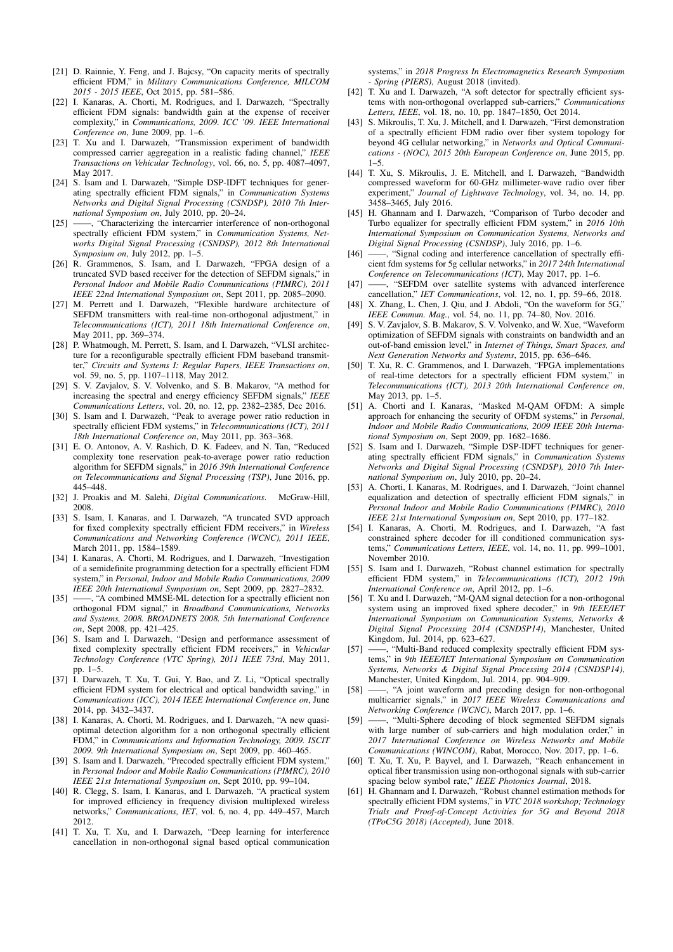- [21] D. Rainnie, Y. Feng, and J. Bajcsy, "On capacity merits of spectrally efficient FDM," in *Military Communications Conference, MILCOM 2015 - 2015 IEEE*, Oct 2015, pp. 581–586.
- [22] I. Kanaras, A. Chorti, M. Rodrigues, and I. Darwazeh, "Spectrally efficient FDM signals: bandwidth gain at the expense of receiver complexity," in *Communications, 2009. ICC '09. IEEE International Conference on*, June 2009, pp. 1–6.
- [23] T. Xu and I. Darwazeh, "Transmission experiment of bandwidth compressed carrier aggregation in a realistic fading channel," *IEEE Transactions on Vehicular Technology*, vol. 66, no. 5, pp. 4087–4097, May 2017.
- [24] S. Isam and I. Darwazeh, "Simple DSP-IDFT techniques for generating spectrally efficient FDM signals," in *Communication Systems Networks and Digital Signal Processing (CSNDSP), 2010 7th International Symposium on*, July 2010, pp. 20–24.
- [25] ——, "Characterizing the intercarrier interference of non-orthogonal spectrally efficient FDM system," in *Communication Systems, Networks Digital Signal Processing (CSNDSP), 2012 8th International Symposium on*, July 2012, pp. 1–5.
- [26] R. Grammenos, S. Isam, and I. Darwazeh, "FPGA design of a truncated SVD based receiver for the detection of SEFDM signals," in *Personal Indoor and Mobile Radio Communications (PIMRC), 2011 IEEE 22nd International Symposium on*, Sept 2011, pp. 2085–2090.
- [27] M. Perrett and I. Darwazeh, "Flexible hardware architecture of SEFDM transmitters with real-time non-orthogonal adjustment," in *Telecommunications (ICT), 2011 18th International Conference on*, May 2011, pp. 369–374.
- [28] P. Whatmough, M. Perrett, S. Isam, and I. Darwazeh, "VLSI architecture for a reconfigurable spectrally efficient FDM baseband transmitter," *Circuits and Systems I: Regular Papers, IEEE Transactions on*, vol. 59, no. 5, pp. 1107–1118, May 2012.
- [29] S. V. Zavjalov, S. V. Volvenko, and S. B. Makarov, "A method for increasing the spectral and energy efficiency SEFDM signals," *IEEE Communications Letters*, vol. 20, no. 12, pp. 2382–2385, Dec 2016.
- [30] S. Isam and I. Darwazeh, "Peak to average power ratio reduction in spectrally efficient FDM systems," in *Telecommunications (ICT), 2011 18th International Conference on*, May 2011, pp. 363–368.
- [31] E. O. Antonov, A. V. Rashich, D. K. Fadeev, and N. Tan, "Reduced complexity tone reservation peak-to-average power ratio reduction algorithm for SEFDM signals," in *2016 39th International Conference on Telecommunications and Signal Processing (TSP)*, June 2016, pp. 445–448.
- [32] J. Proakis and M. Salehi, *Digital Communications*. McGraw-Hill, 2008.
- [33] S. Isam, I. Kanaras, and I. Darwazeh, "A truncated SVD approach for fixed complexity spectrally efficient FDM receivers," in *Wireless Communications and Networking Conference (WCNC), 2011 IEEE*, March 2011, pp. 1584–1589.
- [34] I. Kanaras, A. Chorti, M. Rodrigues, and I. Darwazeh, "Investigation of a semidefinite programming detection for a spectrally efficient FDM system," in *Personal, Indoor and Mobile Radio Communications, 2009 IEEE 20th International Symposium on*, Sept 2009, pp. 2827–2832.
- [35] ——, "A combined MMSE-ML detection for a spectrally efficient non orthogonal FDM signal," in *Broadband Communications, Networks and Systems, 2008. BROADNETS 2008. 5th International Conference on*, Sept 2008, pp. 421–425.
- [36] S. Isam and I. Darwazeh, "Design and performance assessment of fixed complexity spectrally efficient FDM receivers," in *Vehicular Technology Conference (VTC Spring), 2011 IEEE 73rd*, May 2011, pp. 1–5.
- [37] I. Darwazeh, T. Xu, T. Gui, Y. Bao, and Z. Li, "Optical spectrally efficient FDM system for electrical and optical bandwidth saving," in *Communications (ICC), 2014 IEEE International Conference on*, June 2014, pp. 3432–3437.
- [38] I. Kanaras, A. Chorti, M. Rodrigues, and I. Darwazeh, "A new quasioptimal detection algorithm for a non orthogonal spectrally efficient FDM," in *Communications and Information Technology, 2009. ISCIT 2009. 9th International Symposium on*, Sept 2009, pp. 460–465.
- [39] S. Isam and I. Darwazeh, "Precoded spectrally efficient FDM system," in *Personal Indoor and Mobile Radio Communications (PIMRC), 2010 IEEE 21st International Symposium on*, Sept 2010, pp. 99–104.
- [40] R. Clegg, S. Isam, I. Kanaras, and I. Darwazeh, "A practical system for improved efficiency in frequency division multiplexed wireless networks," *Communications, IET*, vol. 6, no. 4, pp. 449–457, March 2012.
- [41] T. Xu, T. Xu, and I. Darwazeh, "Deep learning for interference cancellation in non-orthogonal signal based optical communication

systems," in *2018 Progress In Electromagnetics Research Symposium - Spring (PIERS)*, August 2018 (invited).

- [42] T. Xu and I. Darwazeh, "A soft detector for spectrally efficient systems with non-orthogonal overlapped sub-carriers," *Communications Letters, IEEE*, vol. 18, no. 10, pp. 1847–1850, Oct 2014.
- [43] S. Mikroulis, T. Xu, J. Mitchell, and I. Darwazeh, "First demonstration of a spectrally efficient FDM radio over fiber system topology for beyond 4G cellular networking," in *Networks and Optical Communications - (NOC), 2015 20th European Conference on*, June 2015, pp.  $1 - 5$ .
- [44] T. Xu, S. Mikroulis, J. E. Mitchell, and I. Darwazeh, "Bandwidth compressed waveform for 60-GHz millimeter-wave radio over fiber experiment," *Journal of Lightwave Technology*, vol. 34, no. 14, pp. 3458–3465, July 2016.
- [45] H. Ghannam and I. Darwazeh, "Comparison of Turbo decoder and Turbo equalizer for spectrally efficient FDM system," in *2016 10th International Symposium on Communication Systems, Networks and Digital Signal Processing (CSNDSP)*, July 2016, pp. 1–6.
- [46] ——, "Signal coding and interference cancellation of spectrally efficient fdm systems for 5g cellular networks," in *2017 24th International Conference on Telecommunications (ICT)*, May 2017, pp. 1–6.
- [47] ——, "SEFDM over satellite systems with advanced interference cancellation," *IET Communications*, vol. 12, no. 1, pp. 59–66, 2018.
- [48] X. Zhang, L. Chen, J. Qiu, and J. Abdoli, "On the waveform for 5G," *IEEE Commun. Mag.*, vol. 54, no. 11, pp. 74–80, Nov. 2016.
- [49] S. V. Zavjalov, S. B. Makarov, S. V. Volvenko, and W. Xue, "Waveform optimization of SEFDM signals with constraints on bandwidth and an out-of-band emission level," in *Internet of Things, Smart Spaces, and Next Generation Networks and Systems*, 2015, pp. 636–646.
- [50] T. Xu, R. C. Grammenos, and I. Darwazeh, "FPGA implementations of real-time detectors for a spectrally efficient FDM system," in *Telecommunications (ICT), 2013 20th International Conference on*, May 2013, pp. 1–5.
- [51] A. Chorti and I. Kanaras, "Masked M-QAM OFDM: A simple approach for enhancing the security of OFDM systems," in *Personal, Indoor and Mobile Radio Communications, 2009 IEEE 20th International Symposium on*, Sept 2009, pp. 1682–1686.
- [52] S. Isam and I. Darwazeh, "Simple DSP-IDFT techniques for generating spectrally efficient FDM signals," in *Communication Systems Networks and Digital Signal Processing (CSNDSP), 2010 7th International Symposium on*, July 2010, pp. 20–24.
- [53] A. Chorti, I. Kanaras, M. Rodrigues, and I. Darwazeh, "Joint channel equalization and detection of spectrally efficient FDM signals," in *Personal Indoor and Mobile Radio Communications (PIMRC), 2010 IEEE 21st International Symposium on*, Sept 2010, pp. 177–182.
- [54] I. Kanaras, A. Chorti, M. Rodrigues, and I. Darwazeh, "A fast constrained sphere decoder for ill conditioned communication systems," *Communications Letters, IEEE*, vol. 14, no. 11, pp. 999–1001, November 2010.
- [55] S. Isam and I. Darwazeh, "Robust channel estimation for spectrally efficient FDM system," in *Telecommunications (ICT), 2012 19th International Conference on*, April 2012, pp. 1–6.
- [56] T. Xu and I. Darwazeh, "M-QAM signal detection for a non-orthogonal system using an improved fixed sphere decoder," in *9th IEEE/IET International Symposium on Communication Systems, Networks & Digital Signal Processing 2014 (CSNDSP14)*, Manchester, United Kingdom, Jul. 2014, pp. 623–627.<br>
—, "Multi-Band reduced complexity spectrally efficient FDM sys-
- [57] ——, "Multi-Band reduced complexity spectrally efficient FDM systems," in *9th IEEE/IET International Symposium on Communication Systems, Networks & Digital Signal Processing 2014 (CSNDSP14)*, Manchester, United Kingdom, Jul. 2014, pp. 904–909.
- [58] ——, "A joint waveform and precoding design for non-orthogonal multicarrier signals," in *2017 IEEE Wireless Communications and Networking Conference (WCNC)*, March 2017, pp. 1–6.
- [59] ——, "Multi-Sphere decoding of block segmented SEFDM signals with large number of sub-carriers and high modulation order," in *2017 International Conference on Wireless Networks and Mobile Communications (WINCOM)*, Rabat, Morocco, Nov. 2017, pp. 1–6.
- [60] T. Xu, T. Xu, P. Bayvel, and I. Darwazeh, "Reach enhancement in optical fiber transmission using non-orthogonal signals with sub-carrier spacing below symbol rate," *IEEE Photonics Journal*, 2018.
- [61] H. Ghannam and I. Darwazeh, "Robust channel estimation methods for spectrally efficient FDM systems," in *VTC 2018 workshop; Technology Trials and Proof-of-Concept Activities for 5G and Beyond 2018 (TPoC5G 2018) (Accepted)*, June 2018.